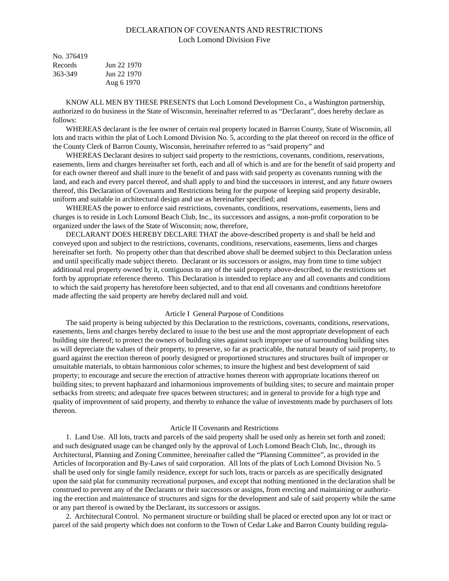# DECLARATION OF COVENANTS AND RESTRICTIONS Loch Lomond Division Five

| No. 376419 |             |
|------------|-------------|
| Records    | Jun 22 1970 |
| 363-349    | Jun 22 1970 |
|            | Aug 6 1970  |

KNOW ALL MEN BY THESE PRESENTS that Loch Lomond Development Co., a Washington partnership, authorized to do business in the State of Wisconsin, hereinafter referred to as "Declarant", does hereby declare as follows:

WHEREAS declarant is the fee owner of certain real property located in Barron County, State of Wisconsin, all lots and tracts within the plat of Loch Lomond Division No. 5, according to the plat thereof on record in the office of the County Clerk of Barron County, Wisconsin, hereinafter referred to as "said property" and

WHEREAS Declarant desires to subject said property to the restrictions, covenants, conditions, reservations, easements, liens and charges hereinafter set forth, each and all of which is and are for the benefit of said property and for each owner thereof and shall inure to the benefit of and pass with said property as covenants running with the land, and each and every parcel thereof, and shall apply to and bind the successors in interest, and any future owners thereof, this Declaration of Covenants and Restrictions being for the purpose of keeping said property desirable, uniform and suitable in architectural design and use as hereinafter specified; and

WHEREAS the power to enforce said restrictions, covenants, conditions, reservations, easements, liens and charges is to reside in Loch Lomond Beach Club, Inc., its successors and assigns, a non-profit corporation to be organized under the laws of the State of Wisconsin; now, therefore,

DECLARANT DOES HEREBY DECLARE THAT the above-described property is and shall be held and conveyed upon and subject to the restrictions, covenants, conditions, reservations, easements, liens and charges hereinafter set forth. No property other than that described above shall be deemed subject to this Declaration unless and until specifically made subject thereto. Declarant or its successors or assigns, may from time to time subject additional real property owned by it, contiguous to any of the said property above-described, to the restrictions set forth by appropriate reference thereto. This Declaration is intended to replace any and all covenants and conditions to which the said property has heretofore been subjected, and to that end all covenants and conditions heretofore made affecting the said property are hereby declared null and void.

## Article I General Purpose of Conditions

The said property is being subjected by this Declaration to the restrictions, covenants, conditions, reservations, easements, liens and charges hereby declared to issue to the best use and the most appropriate development of each building site thereof; to protect the owners of building sites against such improper use of surrounding building sites as will depreciate the values of their property, to preserve, so far as practicable, the natural beauty of said property, to guard against the erection thereon of poorly designed or proportioned structures and structures built of improper or unsuitable materials, to obtain harmonious color schemes; to insure the highest and best development of said property; to encourage and secure the erection of attractive homes thereon with appropriate locations thereof on building sites; to prevent haphazard and inharmonious improvements of building sites; to secure and maintain proper setbacks from streets; and adequate free spaces between structures; and in general to provide for a high type and quality of improvement of said property, and thereby to enhance the value of investments made by purchasers of lots thereon.

#### Article II Covenants and Restrictions

1. Land Use. All lots, tracts and parcels of the said property shall be used only as herein set forth and zoned; and such designated usage can be changed only by the approval of Loch Lomond Beach Club, Inc., through its Architectural, Planning and Zoning Committee, hereinafter called the "Planning Committee", as provided in the Articles of Incorporation and By-Laws of said corporation. All lots of the plats of Loch Lomond Division No. 5 shall be used only for single family residence, except for such lots, tracts or parcels as are specifically designated upon the said plat for community recreational purposes, and except that nothing mentioned in the declaration shall be construed to prevent any of the Declarants or their successors or assigns, from erecting and maintaining or authorizing the erection and maintenance of structures and signs for the development and sale of said property while the same or any part thereof is owned by the Declarant, its successors or assigns.

2. Architectural Control. No permanent structure or building shall be placed or erected upon any lot or tract or parcel of the said property which does not conform to the Town of Cedar Lake and Barron County building regula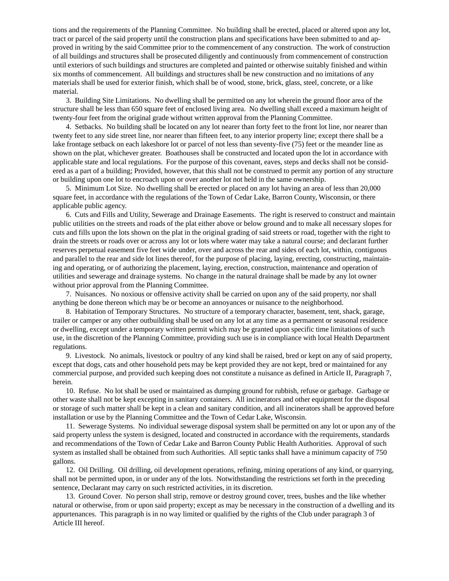tions and the requirements of the Planning Committee. No building shall be erected, placed or altered upon any lot, tract or parcel of the said property until the construction plans and specifications have been submitted to and approved in writing by the said Committee prior to the commencement of any construction. The work of construction of all buildings and structures shall be prosecuted diligently and continuously from commencement of construction until exteriors of such buildings and structures are completed and painted or otherwise suitably finished and within six months of commencement. All buildings and structures shall be new construction and no imitations of any materials shall be used for exterior finish, which shall be of wood, stone, brick, glass, steel, concrete, or a like material.

3. Building Site Limitations. No dwelling shall be permitted on any lot wherein the ground floor area of the structure shall be less than 650 square feet of enclosed living area. No dwelling shall exceed a maximum height of twenty-four feet from the original grade without written approval from the Planning Committee.

4. Setbacks. No building shall be located on any lot nearer than forty feet to the front lot line, nor nearer than twenty feet to any side street line, nor nearer than fifteen feet, to any interior property line; except there shall be a lake frontage setback on each lakeshore lot or parcel of not less than seventy-five (75) feet or the meander line as shown on the plat, whichever greater. Boathouses shall be constructed and located upon the lot in accordance with applicable state and local regulations. For the purpose of this covenant, eaves, steps and decks shall not be considered as a part of a building; Provided, however, that this shall not be construed to permit any portion of any structure or building upon one lot to encroach upon or over another lot not held in the same ownership.

5. Minimum Lot Size. No dwelling shall be erected or placed on any lot having an area of less than 20,000 square feet, in accordance with the regulations of the Town of Cedar Lake, Barron County, Wisconsin, or there applicable public agency.

6. Cuts and Fills and Utility, Sewerage and Drainage Easements. The right is reserved to construct and maintain public utilities on the streets and roads of the plat either above or below ground and to make all necessary slopes for cuts and fills upon the lots shown on the plat in the original grading of said streets or road, together with the right to drain the streets or roads over or across any lot or lots where water may take a natural course; and declarant further reserves perpetual easement five feet wide under, over and across the rear and sides of each lot, within, contiguous and parallel to the rear and side lot lines thereof, for the purpose of placing, laying, erecting, constructing, maintaining and operating, or of authorizing the placement, laying, erection, construction, maintenance and operation of utilities and sewerage and drainage systems. No change in the natural drainage shall be made by any lot owner without prior approval from the Planning Committee.

7. Nuisances. No noxious or offensive activity shall be carried on upon any of the said property, nor shall anything be done thereon which may be or become an annoyances or nuisance to the neighborhood.

8. Habitation of Temporary Structures. No structure of a temporary character, basement, tent, shack, garage, trailer or camper or any other outbuilding shall be used on any lot at any time as a permanent or seasonal residence or dwelling, except under a temporary written permit which may be granted upon specific time limitations of such use, in the discretion of the Planning Committee, providing such use is in compliance with local Health Department regulations.

9. Livestock. No animals, livestock or poultry of any kind shall be raised, bred or kept on any of said property, except that dogs, cats and other household pets may be kept provided they are not kept, bred or maintained for any commercial purpose, and provided such keeping does not constitute a nuisance as defined in Article II, Paragraph 7, herein.

10. Refuse. No lot shall be used or maintained as dumping ground for rubbish, refuse or garbage. Garbage or other waste shall not be kept excepting in sanitary containers. All incinerators and other equipment for the disposal or storage of such matter shall be kept in a clean and sanitary condition, and all incinerators shall be approved before installation or use by the Planning Committee and the Town of Cedar Lake, Wisconsin.

11. Sewerage Systems. No individual sewerage disposal system shall be permitted on any lot or upon any of the said property unless the system is designed, located and constructed in accordance with the requirements, standards and recommendations of the Town of Cedar Lake and Barron County Public Health Authorities. Approval of such system as installed shall be obtained from such Authorities. All septic tanks shall have a minimum capacity of 750 gallons.

12. Oil Drilling. Oil drilling, oil development operations, refining, mining operations of any kind, or quarrying, shall not be permitted upon, in or under any of the lots. Notwithstanding the restrictions set forth in the preceding sentence, Declarant may carry on such restricted activities, in its discretion.

13. Ground Cover. No person shall strip, remove or destroy ground cover, trees, bushes and the like whether natural or otherwise, from or upon said property; except as may be necessary in the construction of a dwelling and its appurtenances. This paragraph is in no way limited or qualified by the rights of the Club under paragraph 3 of Article III hereof.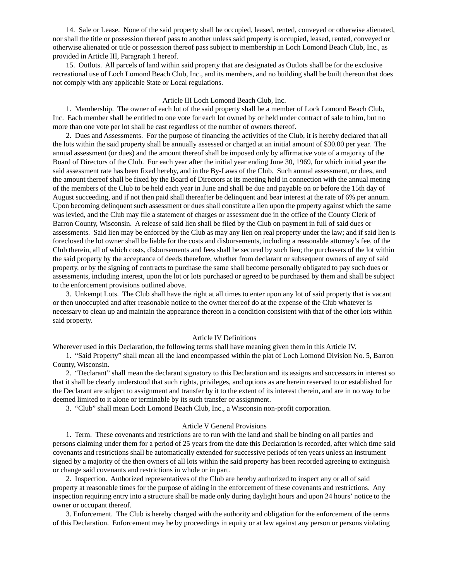14. Sale or Lease. None of the said property shall be occupied, leased, rented, conveyed or otherwise alienated, nor shall the title or possession thereof pass to another unless said property is occupied, leased, rented, conveyed or otherwise alienated or title or possession thereof pass subject to membership in Loch Lomond Beach Club, Inc., as provided in Article III, Paragraph 1 hereof.

15. Outlots. All parcels of land within said property that are designated as Outlots shall be for the exclusive recreational use of Loch Lomond Beach Club, Inc., and its members, and no building shall be built thereon that does not comply with any applicable State or Local regulations.

#### Article III Loch Lomond Beach Club, Inc.

1. Membership. The owner of each lot of the said property shall be a member of Lock Lomond Beach Club, Inc. Each member shall be entitled to one vote for each lot owned by or held under contract of sale to him, but no more than one vote per lot shall be cast regardless of the number of owners thereof.

2. Dues and Assessments. For the purpose of financing the activities of the Club, it is hereby declared that all the lots within the said property shall be annually assessed or charged at an initial amount of \$30.00 per year. The annual assessment (or dues) and the amount thereof shall be imposed only by affirmative vote of a majority of the Board of Directors of the Club. For each year after the initial year ending June 30, 1969, for which initial year the said assessment rate has been fixed hereby, and in the By-Laws of the Club. Such annual assessment, or dues, and the amount thereof shall be fixed by the Board of Directors at its meeting held in connection with the annual meting of the members of the Club to be held each year in June and shall be due and payable on or before the 15th day of August succeeding, and if not then paid shall thereafter be delinquent and bear interest at the rate of 6% per annum. Upon becoming delinquent such assessment or dues shall constitute a lien upon the property against which the same was levied, and the Club may file a statement of charges or assessment due in the office of the County Clerk of Barron County, Wisconsin. A release of said lien shall be filed by the Club on payment in full of said dues or assessments. Said lien may be enforced by the Club as may any lien on real property under the law; and if said lien is foreclosed the lot owner shall be liable for the costs and disbursements, including a reasonable attorney's fee, of the Club therein, all of which costs, disbursements and fees shall be secured by such lien; the purchasers of the lot within the said property by the acceptance of deeds therefore, whether from declarant or subsequent owners of any of said property, or by the signing of contracts to purchase the same shall become personally obligated to pay such dues or assessments, including interest, upon the lot or lots purchased or agreed to be purchased by them and shall be subject to the enforcement provisions outlined above.

3. Unkempt Lots. The Club shall have the right at all times to enter upon any lot of said property that is vacant or then unoccupied and after reasonable notice to the owner thereof do at the expense of the Club whatever is necessary to clean up and maintain the appearance thereon in a condition consistent with that of the other lots within said property.

#### Article IV Definitions

Wherever used in this Declaration, the following terms shall have meaning given them in this Article IV.

1. "Said Property" shall mean all the land encompassed within the plat of Loch Lomond Division No. 5, Barron County, Wisconsin.

2. "Declarant" shall mean the declarant signatory to this Declaration and its assigns and successors in interest so that it shall be clearly understood that such rights, privileges, and options as are herein reserved to or established for the Declarant are subject to assignment and transfer by it to the extent of its interest therein, and are in no way to be deemed limited to it alone or terminable by its such transfer or assignment.

3. "Club" shall mean Loch Lomond Beach Club, Inc., a Wisconsin non-profit corporation.

### Article V General Provisions

1. Term. These covenants and restrictions are to run with the land and shall be binding on all parties and persons claiming under them for a period of 25 years from the date this Declaration is recorded, after which time said covenants and restrictions shall be automatically extended for successive periods of ten years unless an instrument signed by a majority of the then owners of all lots within the said property has been recorded agreeing to extinguish or change said covenants and restrictions in whole or in part.

2. Inspection. Authorized representatives of the Club are hereby authorized to inspect any or all of said property at reasonable times for the purpose of aiding in the enforcement of these covenants and restrictions. Any inspection requiring entry into a structure shall be made only during daylight hours and upon 24 hours' notice to the owner or occupant thereof.

3. Enforcement. The Club is hereby charged with the authority and obligation for the enforcement of the terms of this Declaration. Enforcement may be by proceedings in equity or at law against any person or persons violating